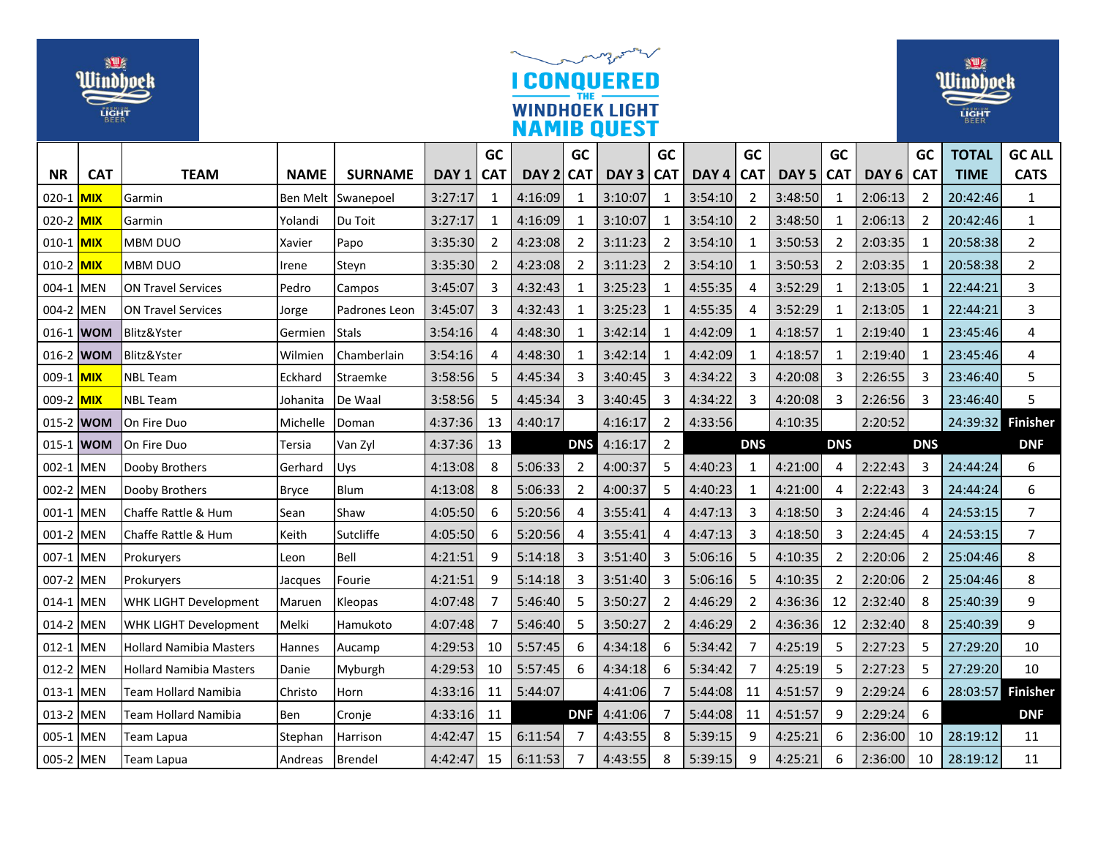| 迎<br>Uindbock<br>LIGHT              |            |                                | my months<br><b>CONQUERED</b><br><b>WINDHOEK LIGHT</b><br><b>NAMIB QUEST</b> |                      |                    |                            |                    |                   |                    |                |                    |                     |                             |                            |                    | <b>NU</b><br>Windbock<br><b>LIGHT</b> |                      |                              |  |
|-------------------------------------|------------|--------------------------------|------------------------------------------------------------------------------|----------------------|--------------------|----------------------------|--------------------|-------------------|--------------------|----------------|--------------------|---------------------|-----------------------------|----------------------------|--------------------|---------------------------------------|----------------------|------------------------------|--|
|                                     |            |                                |                                                                              |                      |                    | GC                         |                    | <b>GC</b>         |                    | GC             |                    | GC                  |                             | GC                         |                    | <b>GC</b>                             | <b>TOTAL</b>         | <b>GC ALL</b>                |  |
| <b>NR</b>                           | <b>CAT</b> | <b>TEAM</b>                    | <b>NAME</b>                                                                  | <b>SURNAME</b>       | DAY 1<br>3:27:17   | <b>CAT</b><br>$\mathbf{1}$ | DAY <sub>2</sub>   | <b>CAT</b>        | DAY <sub>3</sub>   | <b>CAT</b>     | DAY 4              | <b>CAT</b>          | DAY <sub>5</sub><br>3:48:50 | <b>CAT</b><br>$\mathbf{1}$ | DAY <sub>6</sub>   | <b>CAT</b>                            | <b>TIME</b>          | <b>CATS</b>                  |  |
| 020-1 MIX                           |            | Garmin                         | Ben Melt                                                                     | Swanepoel<br>Du Toit |                    | 1                          | 4:16:09            | -1<br>$\mathbf 1$ | 3:10:07            | 1<br>1         | 3:54:10            | $\overline{2}$<br>2 |                             | 1                          | 2:06:13            | 2<br>2                                | 20:42:46<br>20:42:46 | $\mathbf{1}$<br>$\mathbf{1}$ |  |
| 020-2 <mark>MIX</mark><br>010-1 MIX |            | Garmin<br><b>MBM DUO</b>       | Yolandi                                                                      | Papo                 | 3:27:17<br>3:35:30 | $\overline{2}$             | 4:16:09<br>4:23:08 | $\overline{2}$    | 3:10:07<br>3:11:23 | 2              | 3:54:10<br>3:54:10 | $\mathbf{1}$        | 3:48:50<br>3:50:53          | $\overline{2}$             | 2:06:13<br>2:03:35 | $\mathbf{1}$                          | 20:58:38             | $\overline{2}$               |  |
| 010-2 MIX                           |            | MBM DUO                        | Xavier<br>Irene                                                              | Steyn                | 3:35:30            | $\overline{2}$             | 4:23:08            | $\overline{2}$    | 3:11:23            | 2              | 3:54:10            | 1                   | 3:50:53                     | $\overline{2}$             | 2:03:35            | -1                                    | 20:58:38             | $\overline{2}$               |  |
| 004-1 MEN                           |            | <b>ON Travel Services</b>      | Pedro                                                                        | Campos               | 3:45:07            | 3                          | 4:32:43            | 1                 | 3:25:23            | 1              | 4:55:35            | 4                   | 3:52:29                     | 1                          | 2:13:05            | 1                                     | 22:44:21             | 3                            |  |
| 004-2 MEN                           |            | <b>ON Travel Services</b>      | Jorge                                                                        | Padrones Leon        | 3:45:07            | 3                          | 4:32:43            | $\mathbf{1}$      | 3:25:23            | 1              | 4:55:35            | 4                   | 3:52:29                     | $\mathbf{1}$               | 2:13:05            | 1                                     | 22:44:21             | 3                            |  |
| 016-1 WOM                           |            | Blitz&Yster                    | Germien                                                                      | <b>Stals</b>         | 3:54:16            | 4                          | 4:48:30            | 1                 | 3:42:14            | 1              | 4:42:09            | $\mathbf{1}$        | 4:18:57                     | $\mathbf{1}$               | 2:19:40            | $\mathbf{1}$                          | 23:45:46             | 4                            |  |
| 016-2 WOM                           |            | Blitz&Yster                    | Wilmien                                                                      | Chamberlain          | 3:54:16            | 4                          | 4:48:30            | -1                | 3:42:14            | 1              | 4:42:09            | 1                   | 4:18:57                     | 1                          | 2:19:40            | 1                                     | 23:45:46             | 4                            |  |
| 009-1 MIX                           |            | <b>NBL Team</b>                | Eckhard                                                                      | Straemke             | 3:58:56            | 5                          | 4:45:34            | 3                 | 3:40:45            | 3              | 4:34:22            | 3                   | 4:20:08                     | 3                          | 2:26:55            | 3                                     | 23:46:40             | 5                            |  |
| 009-2 MIX                           |            | <b>NBL Team</b>                | Johanita                                                                     | De Waal              | 3:58:56            | 5                          | 4:45:34            | 3                 | 3:40:45            | 3              | 4:34:22            | 3                   | 4:20:08                     | 3                          | 2:26:56            | 3                                     | 23:46:40             | 5                            |  |
| 015-2 WOM                           |            | On Fire Duo                    | Michelle                                                                     | Doman                | 4:37:36            | 13                         | 4:40:17            |                   | 4:16:17            | 2              | 4:33:56            |                     | 4:10:35                     |                            | 2:20:52            |                                       | 24:39:32             | <b>Finisher</b>              |  |
| 015-1 WOM                           |            | On Fire Duo                    | Tersia                                                                       | Van Zyl              | 4:37:36            | 13                         |                    | <b>DNS</b>        | 4:16:17            | $\overline{2}$ |                    | <b>DNS</b>          |                             | <b>DNS</b>                 |                    | <b>DNS</b>                            |                      | <b>DNF</b>                   |  |
| 002-1 MEN                           |            | Dooby Brothers                 | Gerhard                                                                      | Uys                  | 4:13:08            | 8                          | 5:06:33            | $\overline{2}$    | 4:00:37            | 5              | 4:40:23            | $\mathbf{1}$        | 4:21:00                     | 4                          | 2:22:43            | 3                                     | 24:44:24             | 6                            |  |
| 002-2 MEN                           |            | Dooby Brothers                 | <b>Bryce</b>                                                                 | Blum                 | 4:13:08            | 8                          | 5:06:33            | $\overline{2}$    | 4:00:37            | 5              | 4:40:23            | 1                   | 4:21:00                     | 4                          | 2:22:43            | 3                                     | 24:44:24             | 6                            |  |
| 001-1 MEN                           |            | Chaffe Rattle & Hum            | Sean                                                                         | Shaw                 | 4:05:50            | 6                          | 5:20:56            | $\overline{4}$    | 3:55:41            | 4              | 4:47:13            | 3                   | 4:18:50                     | 3                          | 2:24:46            | $\overline{4}$                        | 24:53:15             | 7                            |  |
| 001-2 MEN                           |            | Chaffe Rattle & Hum            | Keith                                                                        | Sutcliffe            | 4:05:50            | 6                          | 5:20:56            | $\overline{4}$    | 3:55:41            | 4              | 4:47:13            | 3                   | 4:18:50                     | $\overline{3}$             | 2:24:45            | $\overline{4}$                        | 24:53:15             | $\overline{7}$               |  |
| 007-1 MEN                           |            | Prokuryers                     | Leon                                                                         | Bell                 | 4:21:51            | 9                          | 5:14:18            | 3                 | 3:51:40            | 3              | 5:06:16            | 5                   | 4:10:35                     | $\overline{2}$             | 2:20:06            | $\overline{2}$                        | 25:04:46             | 8                            |  |
| 007-2 MEN                           |            | Prokurvers                     | Jacques                                                                      | Fourie               | 4:21:51            | 9                          | 5:14:18            | 3                 | 3:51:40            | 3              | 5:06:16            | 5                   | 4:10:35                     | $\overline{2}$             | 2:20:06            | $\overline{2}$                        | 25:04:46             | 8                            |  |
| 014-1 MEN                           |            | WHK LIGHT Development          | Maruen                                                                       | Kleopas              | 4:07:48            | 7                          | 5:46:40            | -5                | 3:50:27            | 2              | 4:46:29            | $\overline{2}$      | 4:36:36                     | 12                         | 2:32:40            | -8                                    | 25:40:39             | 9                            |  |
| 014-2 MEN                           |            | WHK LIGHT Development          | Melki                                                                        | Hamukoto             | 4:07:48            | 7                          | 5:46:40            | -5                | 3:50:27            | 2              | 4:46:29            | $\overline{2}$      | 4:36:36                     | 12                         | 2:32:40            | 8                                     | 25:40:39             | 9                            |  |
| 012-1 MEN                           |            | <b>Hollard Namibia Masters</b> | Hannes                                                                       | Aucamp               | 4:29:53            | 10                         | 5:57:45            | 6                 | 4:34:18            | 6              | 5:34:42            | 7                   | 4:25:19                     | 5                          | 2:27:23            | 5                                     | 27:29:20             | 10                           |  |
| 012-2 MEN                           |            | <b>Hollard Namibia Masters</b> | Danie                                                                        | Myburgh              | 4:29:53            | 10                         | 5:57:45            | 6                 | 4:34:18            | 6              | 5:34:42            | 7                   | 4:25:19                     | 5                          | 2:27:23            | 5                                     | 27:29:20             | 10                           |  |
| 013-1 MEN                           |            | Team Hollard Namibia           | Christo                                                                      | Horn                 | 4:33:16            | 11                         | 5:44:07            |                   | 4:41:06            | 7              | 5:44:08            | 11                  | 4:51:57                     | 9                          | 2:29:24            | 6                                     | 28:03:57             | <b>Finisher</b>              |  |
| 013-2 MEN                           |            | Team Hollard Namibia           | Ben                                                                          | Cronje               | 4:33:16            | 11                         |                    | <b>DNF</b>        | 4:41:06            |                | 5:44:08            | 11                  | 4:51:57                     | 9                          | 2:29:24            | 6                                     |                      | <b>DNF</b>                   |  |
| 005-1 MEN                           |            | Team Lapua                     | Stephan                                                                      | Harrison             | 4:42:47            | 15                         | 6:11:54            | -7                | 4:43:55            | 8              | 5:39:15            | 9                   | 4:25:21                     | 6                          | 2:36:00            | 10                                    | 28:19:12             | 11                           |  |
| 005-2 MEN                           |            | Team Lapua                     | Andreas                                                                      | Brendel              | 4:42:47            | 15                         | 6:11:53            | $\overline{7}$    | 4:43:55            | 8              | 5:39:15            | 9                   | 4:25:21                     | 6                          | 2:36:00            | 10                                    | 28:19:12             | 11                           |  |